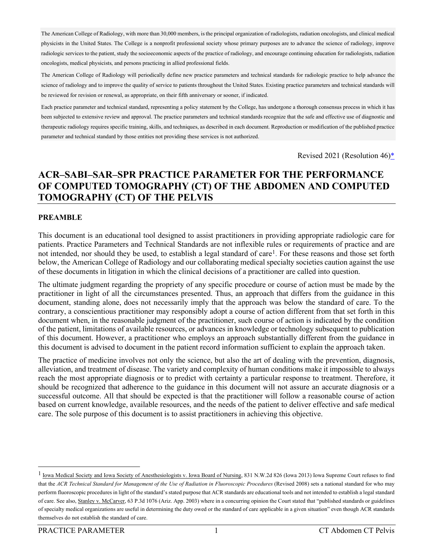The American College of Radiology, with more than 30,000 members, is the principal organization of radiologists, radiation oncologists, and clinical medical physicists in the United States. The College is a nonprofit professional society whose primary purposes are to advance the science of radiology, improve radiologic services to the patient, study the socioeconomic aspects of the practice of radiology, and encourage continuing education for radiologists, radiation oncologists, medical physicists, and persons practicing in allied professional fields.

The American College of Radiology will periodically define new practice parameters and technical standards for radiologic practice to help advance the science of radiology and to improve the quality of service to patients throughout the United States. Existing practice parameters and technical standards will be reviewed for revision or renewal, as appropriate, on their fifth anniversary or sooner, if indicated.

Each practice parameter and technical standard, representing a policy statement by the College, has undergone a thorough consensus process in which it has been subjected to extensive review and approval. The practice parameters and technical standards recognize that the safe and effective use of diagnostic and therapeutic radiology requires specific training, skills, and techniques, as described in each document. Reproduction or modification of the published practice parameter and technical standard by those entities not providing these services is not authorized.

Revised 2021 (Resolution 46[\)\\*](#page-14-0)

# **ACR–SABI–SAR–SPR PRACTICE PARAMETER FOR THE PERFORMANCE OF COMPUTED TOMOGRAPHY (CT) OF THE ABDOMEN AND COMPUTED TOMOGRAPHY (CT) OF THE PELVIS**

#### **PREAMBLE**

This document is an educational tool designed to assist practitioners in providing appropriate radiologic care for patients. Practice Parameters and Technical Standards are not inflexible rules or requirements of practice and are not intended, nor should they be used, to establish a legal standard of care<sup>[1](#page-0-0)</sup>. For these reasons and those set forth below, the American College of Radiology and our collaborating medical specialty societies caution against the use of these documents in litigation in which the clinical decisions of a practitioner are called into question.

The ultimate judgment regarding the propriety of any specific procedure or course of action must be made by the practitioner in light of all the circumstances presented. Thus, an approach that differs from the guidance in this document, standing alone, does not necessarily imply that the approach was below the standard of care. To the contrary, a conscientious practitioner may responsibly adopt a course of action different from that set forth in this document when, in the reasonable judgment of the practitioner, such course of action is indicated by the condition of the patient, limitations of available resources, or advances in knowledge or technology subsequent to publication of this document. However, a practitioner who employs an approach substantially different from the guidance in this document is advised to document in the patient record information sufficient to explain the approach taken.

The practice of medicine involves not only the science, but also the art of dealing with the prevention, diagnosis, alleviation, and treatment of disease. The variety and complexity of human conditions make it impossible to always reach the most appropriate diagnosis or to predict with certainty a particular response to treatment. Therefore, it should be recognized that adherence to the guidance in this document will not assure an accurate diagnosis or a successful outcome. All that should be expected is that the practitioner will follow a reasonable course of action based on current knowledge, available resources, and the needs of the patient to deliver effective and safe medical care. The sole purpose of this document is to assist practitioners in achieving this objective.

<span id="page-0-0"></span><sup>&</sup>lt;sup>1</sup> Iowa Medical Society and Iowa Society of Anesthesiologists v. Iowa Board of Nursing, 831 N.W.2d 826 (Iowa 2013) Iowa Supreme Court refuses to find that the *ACR Technical Standard for Management of the Use of Radiation in Fluoroscopic Procedures* (Revised 2008) sets a national standard for who may perform fluoroscopic procedures in light of the standard's stated purpose that ACR standards are educational tools and not intended to establish a legal standard of care. See also, Stanley v. McCarver, 63 P.3d 1076 (Ariz. App. 2003) where in a concurring opinion the Court stated that "published standards or guidelines of specialty medical organizations are useful in determining the duty owed or the standard of care applicable in a given situation" even though ACR standards themselves do not establish the standard of care.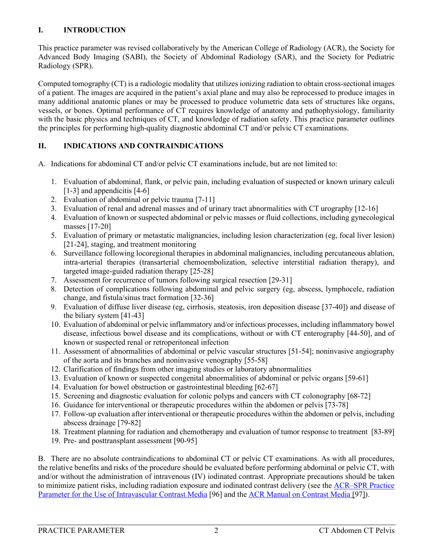## **I. INTRODUCTION**

This practice parameter was revised collaboratively by the American College of Radiology (ACR), the Society for Advanced Body Imaging (SABI), the Society of Abdominal Radiology (SAR), and the Society for Pediatric Radiology (SPR).

Computed tomography (CT) is a radiologic modality that utilizes ionizing radiation to obtain cross-sectional images of a patient. The images are acquired in the patient's axial plane and may also be reprocessed to produce images in many additional anatomic planes or may be processed to produce volumetric data sets of structures like organs, vessels, or bones. Optimal performance of CT requires knowledge of anatomy and pathophysiology, familiarity with the basic physics and techniques of CT, and knowledge of radiation safety. This practice parameter outlines the principles for performing high-quality diagnostic abdominal CT and/or pelvic CT examinations.

# **II. INDICATIONS AND CONTRAINDICATIONS**

- A. Indications for abdominal CT and/or pelvic CT examinations include, but are not limited to:
	- 1. Evaluation of abdominal, flank, or pelvic pain, including evaluation of suspected or known urinary calculi [\[1-3\]](#page-7-0) and appendicitis [\[4-6\]](#page-7-1)
	- 2. Evaluation of abdominal or pelvic trauma [\[7-11\]](#page-7-2)
	- 3. Evaluation of renal and adrenal masses and of urinary tract abnormalities with CT urography [\[12-16\]](#page-8-0)
	- 4. Evaluation of known or suspected abdominal or pelvic masses or fluid collections, including gynecological masses [\[17-20\]](#page-8-1)
	- 5. Evaluation of primary or metastatic malignancies, including lesion characterization (eg, focal liver lesion) [\[21-24\]](#page-8-2), staging, and treatment monitoring
	- 6. Surveillance following locoregional therapies in abdominal malignancies, including percutaneous ablation, intra-arterial therapies (transarterial chemoembolization, selective interstitial radiation therapy), and targeted image-guided radiation therapy [\[25-28\]](#page-8-3)
	- 7. Assessment for recurrence of tumors following surgical resection [\[29-31\]](#page-8-4)
	- 8. Detection of complications following abdominal and pelvic surgery (eg, abscess, lymphocele, radiation change, and fistula/sinus tract formation [\[32-36\]](#page-9-0)
	- 9. Evaluation of diffuse liver disease (eg, cirrhosis, steatosis, iron deposition disease [\[37-40\]](#page-9-1)) and disease of the biliary system [\[41-43\]](#page-9-2)
	- 10. Evaluation of abdominal or pelvic inflammatory and/or infectious processes, including inflammatory bowel disease, infectious bowel disease and its complications, without or with CT enterography [\[44-50\]](#page-9-3), and of known or suspected renal or retroperitoneal infection
	- 11. Assessment of abnormalities of abdominal or pelvic vascular structures [\[51-54\]](#page-9-4); noninvasive angiography of the aorta and its branches and noninvasive venography [\[55-58\]](#page-10-0)
	- 12. Clarification of findings from other imaging studies or laboratory abnormalities
	- 13. Evaluation of known or suspected congenital abnormalities of abdominal or pelvic organs [\[59-61\]](#page-10-1)
	- 14. Evaluation for bowel obstruction or gastrointestinal bleeding [\[62-67\]](#page-10-2)
	- 15. Screening and diagnostic evaluation for colonic polyps and cancers with CT colonography [\[68-72\]](#page-10-3)
	- 16. Guidance for interventional or therapeutic procedures within the abdomen or pelvis [\[73-78\]](#page-10-4)
	- 17. Follow-up evaluation after interventional or therapeutic procedures within the abdomen or pelvis, including abscess drainage [\[79-82\]](#page-11-0)
	- 18. Treatment planning for radiation and chemotherapy and evaluation of tumor response to treatment [\[83-89\]](#page-11-1)
	- 19. Pre- and posttransplant assessment [\[90-95\]](#page-11-2)

B. There are no absolute contraindications to abdominal CT or pelvic CT examinations. As with all procedures, the relative benefits and risks of the procedure should be evaluated before performing abdominal or pelvic CT, with and/or without the administration of intravenous (IV) iodinated contrast. Appropriate precautions should be taken to minimize patient risks, including radiation exposure and iodinated contrast delivery (see the [ACR–SPR](https://www.acr.org/-/media/ACR/Files/Practice-Parameters/IVCM.pdf) [Practice](https://www.acr.org/-/media/ACR/Files/Practice-Parameters/IVCM.pdf)  Parameter [for the Use of Intravascular Contrast Media](https://www.acr.org/-/media/ACR/Files/Practice-Parameters/IVCM.pdf) [\[96\]](#page-11-3) and the [ACR Manual on Contrast Media](https://www.acr.org/-/media/ACR/Files/Clinical-Resources/Contrast_Media.pdf) [\[97\]](#page-11-4)).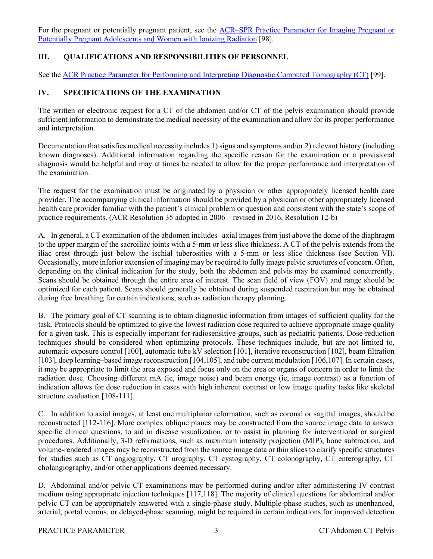For the pregnant or potentially pregnant patient, see the ACR–SPR Practice Parameter for Imaging Pregnant or [Potentially Pregnant Adolescents and Women with Ionizing Radiation](https://www.acr.org/-/media/ACR/Files/Practice-Parameters/Pregnant-Pts.pdf) [\[98\]](#page-11-5).

# **III. QUALIFICATIONS AND RESPONSIBILITIES OF PERSONNEL**

See the ACR Practice Parameter [for Performing and Interpreting Diagnostic Computed Tomography \(CT\)](https://www.acr.org/-/media/ACR/Files/Practice-Parameters/CT-Perf-Interpret.pdf) [\[99\]](#page-11-6).

#### **IV. SPECIFICATIONS OF THE EXAMINATION**

The written or electronic request for a CT of the abdomen and/or CT of the pelvis examination should provide sufficient information to demonstrate the medical necessity of the examination and allow for its proper performance and interpretation.

Documentation that satisfies medical necessity includes 1) signs and symptoms and/or 2) relevant history (including known diagnoses). Additional information regarding the specific reason for the examination or a provisional diagnosis would be helpful and may at times be needed to allow for the proper performance and interpretation of the examination.

The request for the examination must be originated by a physician or other appropriately licensed health care provider. The accompanying clinical information should be provided by a physician or other appropriately licensed health care provider familiar with the patient's clinical problem or question and consistent with the state's scope of practice requirements. (ACR Resolution 35 adopted in 2006 – revised in 2016, Resolution 12-b)

A. In general, a CT examination of the abdomen includes axial images from just above the dome of the diaphragm to the upper margin of the sacroiliac joints with a 5-mm or less slice thickness. A CT of the pelvis extends from the iliac crest through just below the ischial tuberosities with a 5-mm or less slice thickness (see Section VI). Occasionally, more inferior extension of imaging may be required to fully image pelvic structures of concern. Often, depending on the clinical indication for the study, both the abdomen and pelvis may be examined concurrently. Scans should be obtained through the entire area of interest. The scan field of view (FOV) and range should be optimized for each patient. Scans should generally be obtained during suspended respiration but may be obtained during free breathing for certain indications, such as radiation therapy planning.

B. The primary goal of CT scanning is to obtain diagnostic information from images of sufficient quality for the task. Protocols should be optimized to give the lowest radiation dose required to achieve appropriate image quality for a given task. This is especially important for radiosensitive groups, such as pediatric patients. Dose-reduction techniques should be considered when optimizing protocols. These techniques include, but are not limited to, automatic exposure control [\[100\]](#page-11-7), automatic tube kV selection [\[101\]](#page-11-8), iterative reconstruction [\[102\]](#page-12-0), beam filtration [\[103\]](#page-12-1), deep learning–based image reconstruction [\[104,](#page-12-2)[105\]](#page-12-3), and tube current modulation [\[106](#page-12-4)[,107\]](#page-12-5). In certain cases, it may be appropriate to limit the area exposed and focus only on the area or organs of concern in order to limit the radiation dose. Choosing different mA (ie, image noise) and beam energy (ie, image contrast) as a function of indication allows for dose reduction in cases with high inherent contrast or low image quality tasks like skeletal structure evaluation [\[108-111\]](#page-12-6).

C. In addition to axial images, at least one multiplanar reformation, such as coronal or sagittal images, should be reconstructed [\[112-116\]](#page-12-7). More complex oblique planes may be constructed from the source image data to answer specific clinical questions, to aid in disease visualization, or to assist in planning for interventional or surgical procedures. Additionally, 3-D reformations, such as maximum intensity projection (MIP), bone subtraction, and volume-rendered images may be reconstructed from the source image data or thin slices to clarify specific structures for studies such as CT angiography, CT urography, CT cystography, CT colonography, CT enterography, CT cholangiography, and/or other applications deemed necessary.

D. Abdominal and/or pelvic CT examinations may be performed during and/or after administering IV contrast medium using appropriate injection techniques [\[117](#page-12-8)[,118\]](#page-12-9). The majority of clinical questions for abdominal and/or pelvic CT can be appropriately answered with a single-phase study. Multiple-phase studies, such as unenhanced, arterial, portal venous, or delayed-phase scanning, might be required in certain indications for improved detection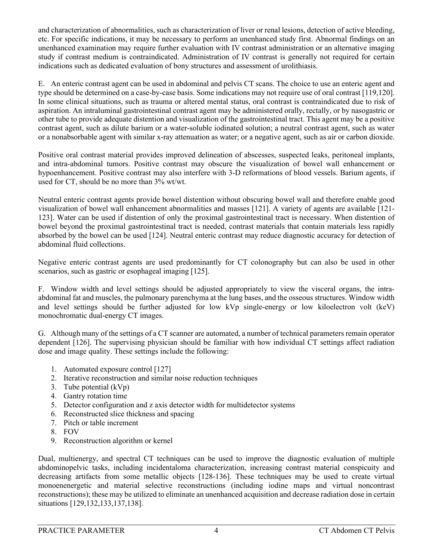and characterization of abnormalities, such as characterization of liver or renal lesions, detection of active bleeding, etc. For specific indications, it may be necessary to perform an unenhanced study first. Abnormal findings on an unenhanced examination may require further evaluation with IV contrast administration or an alternative imaging study if contrast medium is contraindicated. Administration of IV contrast is generally not required for certain indications such as dedicated evaluation of bony structures and assessment of urolithiasis.

E. An enteric contrast agent can be used in abdominal and pelvis CT scans. The choice to use an enteric agent and type should be determined on a case-by-case basis. Some indications may not require use of oral contrast [\[119,](#page-12-10)[120\]](#page-12-11). In some clinical situations, such as trauma or altered mental status, oral contrast is contraindicated due to risk of aspiration. An intraluminal gastrointestinal contrast agent may be administered orally, rectally, or by nasogastric or other tube to provide adequate distention and visualization of the gastrointestinal tract. This agent may be a positive contrast agent, such as dilute barium or a water-soluble iodinated solution; a neutral contrast agent, such as water or a nonabsorbable agent with similar x-ray attenuation as water; or a negative agent, such as air or carbon dioxide.

Positive oral contrast material provides improved delineation of abscesses, suspected leaks, peritoneal implants, and intra-abdominal tumors. Positive contrast may obscure the visualization of bowel wall enhancement or hypoenhancement. Positive contrast may also interfere with 3-D reformations of blood vessels. Barium agents, if used for CT, should be no more than 3% wt/wt.

Neutral enteric contrast agents provide bowel distention without obscuring bowel wall and therefore enable good visualization of bowel wall enhancement abnormalities and masses [\[121\]](#page-12-12). A variety of agents are available [\[121-](#page-12-12) [123\]](#page-12-12). Water can be used if distention of only the proximal gastrointestinal tract is necessary. When distention of bowel beyond the proximal gastrointestinal tract is needed, contrast materials that contain materials less rapidly absorbed by the bowel can be used [\[124\]](#page-12-13). Neutral enteric contrast may reduce diagnostic accuracy for detection of abdominal fluid collections.

Negative enteric contrast agents are used predominantly for CT colonography but can also be used in other scenarios, such as gastric or esophageal imaging [\[125\]](#page-13-0).

F. Window width and level settings should be adjusted appropriately to view the visceral organs, the intraabdominal fat and muscles, the pulmonary parenchyma at the lung bases, and the osseous structures. Window width and level settings should be further adjusted for low kVp single-energy or low kiloelectron volt (keV) monochromatic dual-energy CT images.

G. Although many of the settings of a CT scanner are automated, a number of technical parameters remain operator dependent [\[126\]](#page-13-1). The supervising physician should be familiar with how individual CT settings affect radiation dose and image quality. These settings include the following:

- 1. Automated exposure control [\[127\]](#page-13-2)
- 2. Iterative reconstruction and similar noise reduction techniques
- 3. Tube potential (kVp)
- 4. Gantry rotation time
- 5. Detector configuration and z axis detector width for multidetector systems
- 6. Reconstructed slice thickness and spacing
- 7. Pitch or table increment
- 8. FOV
- 9. Reconstruction algorithm or kernel

Dual, multienergy, and spectral CT techniques can be used to improve the diagnostic evaluation of multiple abdominopelvic tasks, including incidentaloma characterization, increasing contrast material conspicuity and decreasing artifacts from some metallic objects [\[128-136\]](#page-13-3). These techniques may be used to create virtual monoenenergetic and material selective reconstructions (including iodine maps and virtual noncontrast reconstructions); these may be utilized to eliminate an unenhanced acquisition and decrease radiation dose in certain situations [\[129](#page-13-4)[,132,](#page-13-5)[133](#page-13-6)[,137](#page-13-7)[,138\]](#page-13-8).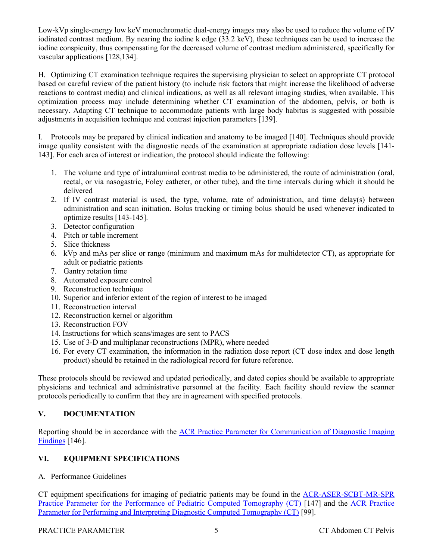Low-kVp single-energy low keV monochromatic dual-energy images may also be used to reduce the volume of IV iodinated contrast medium. By nearing the iodine k edge (33.2 keV), these techniques can be used to increase the iodine conspicuity, thus compensating for the decreased volume of contrast medium administered, specifically for vascular applications [\[128,](#page-13-3)[134\]](#page-13-9).

H. Optimizing CT examination technique requires the supervising physician to select an appropriate CT protocol based on careful review of the patient history (to include risk factors that might increase the likelihood of adverse reactions to contrast media) and clinical indications, as well as all relevant imaging studies, when available. This optimization process may include determining whether CT examination of the abdomen, pelvis, or both is necessary. Adapting CT technique to accommodate patients with large body habitus is suggested with possible adjustments in acquisition technique and contrast injection parameters [\[139\]](#page-13-10).

I. Protocols may be prepared by clinical indication and anatomy to be imaged [\[140\]](#page-13-11). Techniques should provide image quality consistent with the diagnostic needs of the examination at appropriate radiation dose levels [\[141-](#page-13-12) [143\]](#page-13-12). For each area of interest or indication, the protocol should indicate the following:

- 1. The volume and type of intraluminal contrast media to be administered, the route of administration (oral, rectal, or via nasogastric, Foley catheter, or other tube), and the time intervals during which it should be delivered
- 2. If IV contrast material is used, the type, volume, rate of administration, and time delay(s) between administration and scan initiation. Bolus tracking or timing bolus should be used whenever indicated to optimize results [\[143-145\]](#page-13-13).
- 3. Detector configuration
- 4. Pitch or table increment
- 5. Slice thickness
- 6. kVp and mAs per slice or range (minimum and maximum mAs for multidetector CT), as appropriate for adult or pediatric patients
- 7. Gantry rotation time
- 8. Automated exposure control
- 9. Reconstruction technique
- 10. Superior and inferior extent of the region of interest to be imaged
- 11. Reconstruction interval
- 12. Reconstruction kernel or algorithm
- 13. Reconstruction FOV
- 14. Instructions for which scans/images are sent to PACS
- 15. Use of 3-D and multiplanar reconstructions (MPR), where needed
- 16. For every CT examination, the information in the radiation dose report (CT dose index and dose length product) should be retained in the radiological record for future reference.

These protocols should be reviewed and updated periodically, and dated copies should be available to appropriate physicians and technical and administrative personnel at the facility. Each facility should review the scanner protocols periodically to confirm that they are in agreement with specified protocols.

# **V. DOCUMENTATION**

Reporting should be in accordance with the ACR Practice Parameter [for Communication of Diagnostic Imaging](https://www.acr.org/-/media/ACR/Files/Practice-Parameters/CommunicationDiag.pdf)  [Findings](https://www.acr.org/-/media/ACR/Files/Practice-Parameters/CommunicationDiag.pdf) [\[146\]](#page-13-14).

# **VI. EQUIPMENT SPECIFICATIONS**

A. Performance Guidelines

CT equipment specifications for imaging of pediatric patients may be found in the [ACR-ASER-SCBT-MR-SPR](https://www.acr.org/-/media/ACR/Files/Practice-Parameters/CT-Ped.pdf)  [Practice Parameter for the Performance of Pediatric Computed Tomography \(CT\)](https://www.acr.org/-/media/ACR/Files/Practice-Parameters/CT-Ped.pdf) [\[147\]](#page-14-1) and the [ACR Practice](https://www.acr.org/-/media/ACR/Files/Practice-Parameters/CT-Perf-Interpret.pdf)  [Parameter for Performing and Interpreting Diagnostic Computed Tomography \(CT\)](https://www.acr.org/-/media/ACR/Files/Practice-Parameters/CT-Perf-Interpret.pdf) [\[99\]](#page-11-6).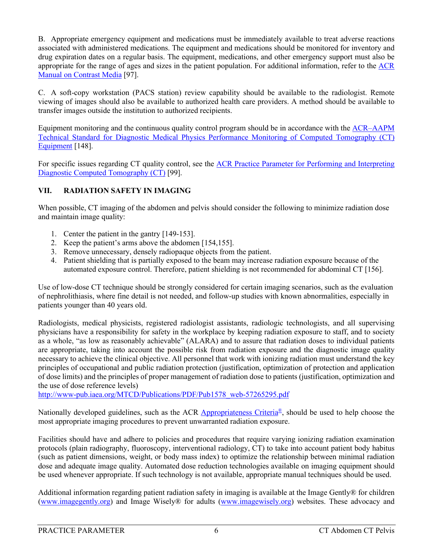B. Appropriate emergency equipment and medications must be immediately available to treat adverse reactions associated with administered medications. The equipment and medications should be monitored for inventory and drug expiration dates on a regular basis. The equipment, medications, and other emergency support must also be appropriate for the range of ages and sizes in the patient population. For additional information, refer to the [ACR](https://www.acr.org/-/media/ACR/Files/Clinical-Resources/Contrast_Media.pdf)  [Manual on Contrast Media](https://www.acr.org/-/media/ACR/Files/Clinical-Resources/Contrast_Media.pdf) [\[97\]](#page-11-4).

C. A soft-copy workstation (PACS station) review capability should be available to the radiologist. Remote viewing of images should also be available to authorized health care providers. A method should be available to transfer images outside the institution to authorized recipients.

Equipment monitoring and the continuous quality control program should be in accordance with the [ACR–AAPM](https://www.acr.org/-/media/ACR/Files/Practice-Parameters/CT-Equip.pdf)  [Technical Standard for Diagnostic Medical Physics Performance Monitoring of Computed Tomography \(CT\)](https://www.acr.org/-/media/ACR/Files/Practice-Parameters/CT-Equip.pdf)  [Equipment](https://www.acr.org/-/media/ACR/Files/Practice-Parameters/CT-Equip.pdf) [\[148\]](#page-14-2).

For specific issues regarding CT quality control, see the [ACR Practice Parameter for Performing and Interpreting](https://www.acr.org/-/media/ACR/Files/Practice-Parameters/CT-Perf-Interpret.pdf)  [Diagnostic Computed Tomography \(CT\)](https://www.acr.org/-/media/ACR/Files/Practice-Parameters/CT-Perf-Interpret.pdf) [\[99\]](#page-11-6).

# **VII. RADIATION SAFETY IN IMAGING**

When possible, CT imaging of the abdomen and pelvis should consider the following to minimize radiation dose and maintain image quality:

- 1. Center the patient in the gantry [\[149-153\]](#page-14-3).
- 2. Keep the patient's arms above the abdomen [\[154,](#page-14-4)[155\]](#page-14-5).
- 3. Remove unnecessary, densely radiopaque objects from the patient.
- 4. Patient shielding that is partially exposed to the beam may increase radiation exposure because of the automated exposure control. Therefore, patient shielding is not recommended for abdominal CT [\[156\]](#page-14-6).

Use of low-dose CT technique should be strongly considered for certain imaging scenarios, such as the evaluation of nephrolithiasis, where fine detail is not needed, and follow-up studies with known abnormalities, especially in patients younger than 40 years old.

Radiologists, medical physicists, registered radiologist assistants, radiologic technologists, and all supervising physicians have a responsibility for safety in the workplace by keeping radiation exposure to staff, and to society as a whole, "as low as reasonably achievable" (ALARA) and to assure that radiation doses to individual patients are appropriate, taking into account the possible risk from radiation exposure and the diagnostic image quality necessary to achieve the clinical objective. All personnel that work with ionizing radiation must understand the key principles of occupational and public radiation protection (justification, optimization of protection and application of dose limits) and the principles of proper management of radiation dose to patients (justification, optimization and the use of dose reference levels)

[http://www-pub.iaea.org/MTCD/Publications/PDF/Pub1578\\_web-57265295.pdf](http://www-pub.iaea.org/MTCD/Publications/PDF/Pub1578_web-57265295.pdf)

Nationally developed guidelines, such as the ACR Appropriateness Criteria<sup>®</sup>, should be used to help choose the most appropriate imaging procedures to prevent unwarranted radiation exposure.

Facilities should have and adhere to policies and procedures that require varying ionizing radiation examination protocols (plain radiography, fluoroscopy, interventional radiology, CT) to take into account patient body habitus (such as patient dimensions, weight, or body mass index) to optimize the relationship between minimal radiation dose and adequate image quality. Automated dose reduction technologies available on imaging equipment should be used whenever appropriate. If such technology is not available, appropriate manual techniques should be used.

Additional information regarding patient radiation safety in imaging is available at the Image Gently® for children [\(www.imagegently.org\)](http://www.imagegently.org/) and Image Wisely® for adults [\(www.imagewisely.org\)](http://www.imagewisely.org/) websites. These advocacy and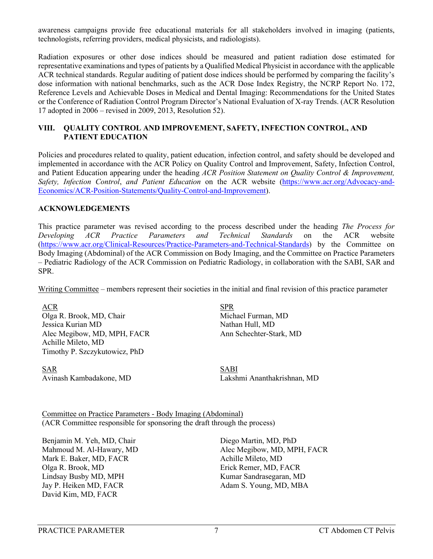awareness campaigns provide free educational materials for all stakeholders involved in imaging (patients, technologists, referring providers, medical physicists, and radiologists).

Radiation exposures or other dose indices should be measured and patient radiation dose estimated for representative examinations and types of patients by a Qualified Medical Physicist in accordance with the applicable ACR technical standards. Regular auditing of patient dose indices should be performed by comparing the facility's dose information with national benchmarks, such as the ACR Dose Index Registry, the NCRP Report No. 172, Reference Levels and Achievable Doses in Medical and Dental Imaging: Recommendations for the United States or the Conference of Radiation Control Program Director's National Evaluation of X-ray Trends. (ACR Resolution 17 adopted in 2006 – revised in 2009, 2013, Resolution 52).

#### **VIII. QUALITY CONTROL AND IMPROVEMENT, SAFETY, INFECTION CONTROL, AND PATIENT EDUCATION**

Policies and procedures related to quality, patient education, infection control, and safety should be developed and implemented in accordance with the ACR Policy on Quality Control and Improvement, Safety, Infection Control, and Patient Education appearing under the heading *ACR Position Statement on Quality Control & Improvement, Safety, Infection Control*, *and Patient Education* on the ACR website [\(https://www.acr.org/Advocacy-and-](https://www.acr.org/Advocacy-and-Economics/ACR-Position-Statements/Quality-Control-and-Improvement)[Economics/ACR-Position-Statements/Quality-Control-and-Improvement\)](https://www.acr.org/Advocacy-and-Economics/ACR-Position-Statements/Quality-Control-and-Improvement).

#### **ACKNOWLEDGEMENTS**

This practice parameter was revised according to the process described under the heading *The Process for Developing ACR Practice Parameters and Technical Standards* on the ACR website [\(https://www.acr.org/Clinical-Resources/Practice-Parameters-and-Technical-Standards\)](https://www.acr.org/Clinical-Resources/Practice-Parameters-and-Technical-Standards) by the Committee on Body Imaging (Abdominal) of the ACR Commission on Body Imaging, and the Committee on Practice Parameters – Pediatric Radiology of the ACR Commission on Pediatric Radiology, in collaboration with the SABI, SAR and SPR.

Writing Committee – members represent their societies in the initial and final revision of this practice parameter

ACR SPR Olga R. Brook, MD, Chair Michael Furman, MD Jessica Kurian MD Nathan Hull, MD Alec Megibow, MD, MPH, FACR Ann Schechter-Stark, MD Achille Mileto, MD Timothy P. Szczykutowicz, PhD

SAR SABI

Avinash Kambadakone, MD Lakshmi Ananthakrishnan, MD

Committee on Practice Parameters - Body Imaging (Abdominal) (ACR Committee responsible for sponsoring the draft through the process)

Benjamin M. Yeh, MD, Chair Diego Martin, MD, PhD Mark E. Baker, MD, FACR Achille Mileto, MD Olga R. Brook, MD Erick Remer, MD, FACR Lindsay Busby MD, MPH Kumar Sandrasegaran, MD Jay P. Heiken MD, FACR Adam S. Young, MD, MBA David Kim, MD, FACR

Mahmoud M. Al-Hawary, MD Alec Megibow, MD, MPH, FACR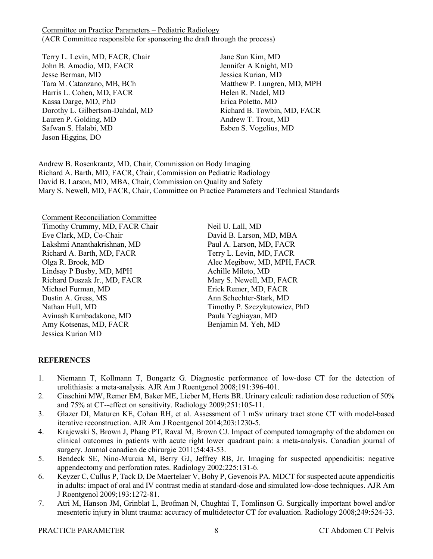Committee on Practice Parameters – Pediatric Radiology (ACR Committee responsible for sponsoring the draft through the process)

Terry L. Levin, MD, FACR, Chair Jane Sun Kim, MD John B. Amodio, MD, FACR Jennifer A Knight, MD Jesse Berman, MD Jessica Kurian, MD Tara M. Catanzano, MB, BCh Matthew P. Lungren, MD, MPH Harris L. Cohen, MD, FACR<br>
Kassa Darge, MD, PhD<br>
Erica Poletto, MD Kassa Darge, MD, PhD Dorothy L. Gilbertson-Dahdal, MD Richard B. Towbin, MD, FACR Lauren P. Golding, MD Andrew T. Trout, MD Safwan S. Halabi, MD Esben S. Vogelius, MD Jason Higgins, DO

Andrew B. Rosenkrantz, MD, Chair, Commission on Body Imaging Richard A. Barth, MD, FACR, Chair, Commission on Pediatric Radiology David B. Larson, MD, MBA, Chair, Commission on Quality and Safety Mary S. Newell, MD, FACR, Chair, Committee on Practice Parameters and Technical Standards

Comment Reconciliation Committee Timothy Crummy, MD, FACR Chair Neil U. Lall, MD Eve Clark, MD, Co-Chair David B. Larson, MD, MBA Lakshmi Ananthakrishnan, MD Paul A. Larson, MD, FACR Richard A. Barth, MD, FACR Terry L. Levin, MD, FACR Olga R. Brook, MD Alec Megibow, MD, MPH, FACR Lindsay P Busby, MD, MPH Achille Mileto, MD Richard Duszak Jr., MD, FACR Mary S. Newell, MD, FACR Michael Furman, MD **Erick Remer, MD, FACR** Dustin A. Gress, MS Ann Schechter-Stark, MD Nathan Hull, MD Timothy P. Szczykutowicz, PhD Avinash Kambadakone, MD Paula Yeghiayan, MD Amy Kotsenas, MD, FACR Benjamin M. Yeh, MD Jessica Kurian MD

#### **REFERENCES**

- <span id="page-7-0"></span>1. Niemann T, Kollmann T, Bongartz G. Diagnostic performance of low-dose CT for the detection of urolithiasis: a meta-analysis. AJR Am J Roentgenol 2008;191:396-401.
- 2. Ciaschini MW, Remer EM, Baker ME, Lieber M, Herts BR. Urinary calculi: radiation dose reduction of 50% and 75% at CT--effect on sensitivity. Radiology 2009;251:105-11.
- 3. Glazer DI, Maturen KE, Cohan RH, et al. Assessment of 1 mSv urinary tract stone CT with model-based iterative reconstruction. AJR Am J Roentgenol 2014;203:1230-5.
- <span id="page-7-1"></span>4. Krajewski S, Brown J, Phang PT, Raval M, Brown CJ. Impact of computed tomography of the abdomen on clinical outcomes in patients with acute right lower quadrant pain: a meta-analysis. Canadian journal of surgery. Journal canadien de chirurgie 2011;54:43-53.
- 5. Bendeck SE, Nino-Murcia M, Berry GJ, Jeffrey RB, Jr. Imaging for suspected appendicitis: negative appendectomy and perforation rates. Radiology 2002;225:131-6.
- 6. Keyzer C, Cullus P, Tack D, De Maertelaer V, Bohy P, Gevenois PA. MDCT for suspected acute appendicitis in adults: impact of oral and IV contrast media at standard-dose and simulated low-dose techniques. AJR Am J Roentgenol 2009;193:1272-81.
- <span id="page-7-2"></span>7. Atri M, Hanson JM, Grinblat L, Brofman N, Chughtai T, Tomlinson G. Surgically important bowel and/or mesenteric injury in blunt trauma: accuracy of multidetector CT for evaluation. Radiology 2008;249:524-33.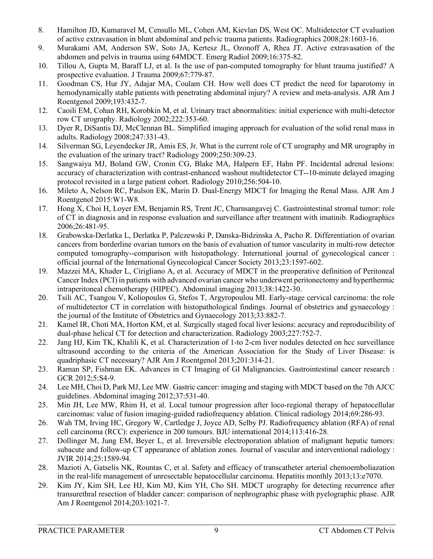- 8. Hamilton JD, Kumaravel M, Censullo ML, Cohen AM, Kievlan DS, West OC. Multidetector CT evaluation of active extravasation in blunt abdominal and pelvic trauma patients. Radiographics 2008;28:1603-16.
- 9. Murakami AM, Anderson SW, Soto JA, Kertesz JL, Ozonoff A, Rhea JT. Active extravasation of the abdomen and pelvis in trauma using 64MDCT. Emerg Radiol 2009;16:375-82.
- 10. Tillou A, Gupta M, Baraff LJ, et al. Is the use of pan-computed tomography for blunt trauma justified? A prospective evaluation. J Trauma 2009;67:779-87.
- 11. Goodman CS, Hur JY, Adajar MA, Coulam CH. How well does CT predict the need for laparotomy in hemodynamically stable patients with penetrating abdominal injury? A review and meta-analysis. AJR Am J Roentgenol 2009;193:432-7.
- <span id="page-8-0"></span>12. Caoili EM, Cohan RH, Korobkin M, et al. Urinary tract abnormalities: initial experience with multi-detector row CT urography. Radiology 2002;222:353-60.
- 13. Dyer R, DiSantis DJ, McClennan BL. Simplified imaging approach for evaluation of the solid renal mass in adults. Radiology 2008;247:331-43.
- 14. Silverman SG, Leyendecker JR, Amis ES, Jr. What is the current role of CT urography and MR urography in the evaluation of the urinary tract? Radiology 2009;250:309-23.
- 15. Sangwaiya MJ, Boland GW, Cronin CG, Blake MA, Halpern EF, Hahn PF. Incidental adrenal lesions: accuracy of characterization with contrast-enhanced washout multidetector CT--10-minute delayed imaging protocol revisited in a large patient cohort. Radiology 2010;256:504-10.
- 16. Mileto A, Nelson RC, Paulson EK, Marin D. Dual-Energy MDCT for Imaging the Renal Mass. AJR Am J Roentgenol 2015:W1-W8.
- <span id="page-8-1"></span>17. Hong X, Choi H, Loyer EM, Benjamin RS, Trent JC, Charnsangavej C. Gastrointestinal stromal tumor: role of CT in diagnosis and in response evaluation and surveillance after treatment with imatinib. Radiographics 2006;26:481-95.
- 18. Grabowska-Derlatka L, Derlatka P, Palczewski P, Danska-Bidzinska A, Pacho R. Differentiation of ovarian cancers from borderline ovarian tumors on the basis of evaluation of tumor vascularity in multi-row detector computed tomography--comparison with histopathology. International journal of gynecological cancer : official journal of the International Gynecological Cancer Society 2013;23:1597-602.
- 19. Mazzei MA, Khader L, Cirigliano A, et al. Accuracy of MDCT in the preoperative definition of Peritoneal Cancer Index (PCI) in patients with advanced ovarian cancer who underwent peritonectomy and hyperthermic intraperitoneal chemotherapy (HIPEC). Abdominal imaging 2013;38:1422-30.
- 20. Tsili AC, Tsangou V, Koliopoulos G, Stefos T, Argyropoulou MI. Early-stage cervical carcinoma: the role of multidetector CT in correlation with histopathological findings. Journal of obstetrics and gynaecology : the journal of the Institute of Obstetrics and Gynaecology 2013;33:882-7.
- <span id="page-8-2"></span>21. Kamel IR, Choti MA, Horton KM, et al. Surgically staged focal liver lesions: accuracy and reproducibility of dual-phase helical CT for detection and characterization. Radiology 2003;227:752-7.
- 22. Jang HJ, Kim TK, Khalili K, et al. Characterization of 1-to 2-cm liver nodules detected on hcc surveillance ultrasound according to the criteria of the American Association for the Study of Liver Disease: is quadriphasic CT necessary? AJR Am J Roentgenol 2013;201:314-21.
- 23. Raman SP, Fishman EK. Advances in CT Imaging of GI Malignancies. Gastrointestinal cancer research : GCR 2012;5:S4-9.
- 24. Lee MH, Choi D, Park MJ, Lee MW. Gastric cancer: imaging and staging with MDCT based on the 7th AJCC guidelines. Abdominal imaging 2012;37:531-40.
- <span id="page-8-3"></span>25. Min JH, Lee MW, Rhim H, et al. Local tumour progression after loco-regional therapy of hepatocellular carcinomas: value of fusion imaging-guided radiofrequency ablation. Clinical radiology 2014;69:286-93.
- 26. Wah TM, Irving HC, Gregory W, Cartledge J, Joyce AD, Selby PJ. Radiofrequency ablation (RFA) of renal cell carcinoma (RCC): experience in 200 tumours. BJU international 2014;113:416-28.
- 27. Dollinger M, Jung EM, Beyer L, et al. Irreversible electroporation ablation of malignant hepatic tumors: subacute and follow-up CT appearance of ablation zones. Journal of vascular and interventional radiology : JVIR 2014;25:1589-94.
- 28. Mazioti A, Gatselis NK, Rountas C, et al. Safety and efficacy of transcatheter arterial chemoemboliazation in the real-life management of unresectable hepatocellular carcinoma. Hepatitis monthly 2013;13:e7070.
- <span id="page-8-4"></span>29. Kim JY, Kim SH, Lee HJ, Kim MJ, Kim YH, Cho SH. MDCT urography for detecting recurrence after transurethral resection of bladder cancer: comparison of nephrographic phase with pyelographic phase. AJR Am J Roentgenol 2014;203:1021-7.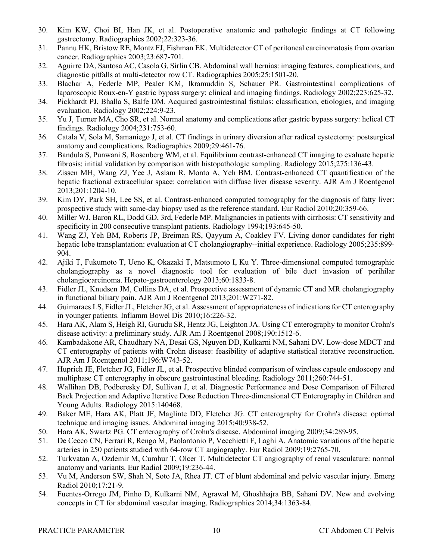- 30. Kim KW, Choi BI, Han JK, et al. Postoperative anatomic and pathologic findings at CT following gastrectomy. Radiographics 2002;22:323-36.
- 31. Pannu HK, Bristow RE, Montz FJ, Fishman EK. Multidetector CT of peritoneal carcinomatosis from ovarian cancer. Radiographics 2003;23:687-701.
- <span id="page-9-0"></span>32. Aguirre DA, Santosa AC, Casola G, Sirlin CB. Abdominal wall hernias: imaging features, complications, and diagnostic pitfalls at multi-detector row CT. Radiographics 2005;25:1501-20.
- 33. Blachar A, Federle MP, Pealer KM, Ikramuddin S, Schauer PR. Gastrointestinal complications of laparoscopic Roux-en-Y gastric bypass surgery: clinical and imaging findings. Radiology 2002;223:625-32.
- 34. Pickhardt PJ, Bhalla S, Balfe DM. Acquired gastrointestinal fistulas: classification, etiologies, and imaging evaluation. Radiology 2002;224:9-23.
- 35. Yu J, Turner MA, Cho SR, et al. Normal anatomy and complications after gastric bypass surgery: helical CT findings. Radiology 2004;231:753-60.
- 36. Catala V, Sola M, Samaniego J, et al. CT findings in urinary diversion after radical cystectomy: postsurgical anatomy and complications. Radiographics 2009;29:461-76.
- <span id="page-9-1"></span>37. Bandula S, Punwani S, Rosenberg WM, et al. Equilibrium contrast-enhanced CT imaging to evaluate hepatic fibrosis: initial validation by comparison with histopathologic sampling. Radiology 2015;275:136-43.
- 38. Zissen MH, Wang ZJ, Yee J, Aslam R, Monto A, Yeh BM. Contrast-enhanced CT quantification of the hepatic fractional extracellular space: correlation with diffuse liver disease severity. AJR Am J Roentgenol 2013;201:1204-10.
- 39. Kim DY, Park SH, Lee SS, et al. Contrast-enhanced computed tomography for the diagnosis of fatty liver: prospective study with same-day biopsy used as the reference standard. Eur Radiol 2010;20:359-66.
- 40. Miller WJ, Baron RL, Dodd GD, 3rd, Federle MP. Malignancies in patients with cirrhosis: CT sensitivity and specificity in 200 consecutive transplant patients. Radiology 1994;193:645-50.
- <span id="page-9-2"></span>41. Wang ZJ, Yeh BM, Roberts JP, Breiman RS, Qayyum A, Coakley FV. Living donor candidates for right hepatic lobe transplantation: evaluation at CT cholangiography--initial experience. Radiology 2005;235:899- 904.
- 42. Ajiki T, Fukumoto T, Ueno K, Okazaki T, Matsumoto I, Ku Y. Three-dimensional computed tomographic cholangiography as a novel diagnostic tool for evaluation of bile duct invasion of perihilar cholangiocarcinoma. Hepato-gastroenterology 2013;60:1833-8.
- 43. Fidler JL, Knudsen JM, Collins DA, et al. Prospective assessment of dynamic CT and MR cholangiography in functional biliary pain. AJR Am J Roentgenol 2013;201:W271-82.
- <span id="page-9-3"></span>44. Guimaraes LS, Fidler JL, Fletcher JG, et al. Assessment of appropriateness of indications for CT enterography in younger patients. Inflamm Bowel Dis 2010;16:226-32.
- 45. Hara AK, Alam S, Heigh RI, Gurudu SR, Hentz JG, Leighton JA. Using CT enterography to monitor Crohn's disease activity: a preliminary study. AJR Am J Roentgenol 2008;190:1512-6.
- 46. Kambadakone AR, Chaudhary NA, Desai GS, Nguyen DD, Kulkarni NM, Sahani DV. Low-dose MDCT and CT enterography of patients with Crohn disease: feasibility of adaptive statistical iterative reconstruction. AJR Am J Roentgenol 2011;196:W743-52.
- 47. Huprich JE, Fletcher JG, Fidler JL, et al. Prospective blinded comparison of wireless capsule endoscopy and multiphase CT enterography in obscure gastrointestinal bleeding. Radiology 2011;260:744-51.
- 48. Wallihan DB, Podberesky DJ, Sullivan J, et al. Diagnostic Performance and Dose Comparison of Filtered Back Projection and Adaptive Iterative Dose Reduction Three-dimensional CT Enterography in Children and Young Adults. Radiology 2015:140468.
- 49. Baker ME, Hara AK, Platt JF, Maglinte DD, Fletcher JG. CT enterography for Crohn's disease: optimal technique and imaging issues. Abdominal imaging 2015;40:938-52.
- 50. Hara AK, Swartz PG. CT enterography of Crohn's disease. Abdominal imaging 2009;34:289-95.
- <span id="page-9-4"></span>51. De Cecco CN, Ferrari R, Rengo M, Paolantonio P, Vecchietti F, Laghi A. Anatomic variations of the hepatic arteries in 250 patients studied with 64-row CT angiography. Eur Radiol 2009;19:2765-70.
- 52. Turkvatan A, Ozdemir M, Cumhur T, Olcer T. Multidetector CT angiography of renal vasculature: normal anatomy and variants. Eur Radiol 2009;19:236-44.
- 53. Vu M, Anderson SW, Shah N, Soto JA, Rhea JT. CT of blunt abdominal and pelvic vascular injury. Emerg Radiol 2010;17:21-9.
- 54. Fuentes-Orrego JM, Pinho D, Kulkarni NM, Agrawal M, Ghoshhajra BB, Sahani DV. New and evolving concepts in CT for abdominal vascular imaging. Radiographics 2014;34:1363-84.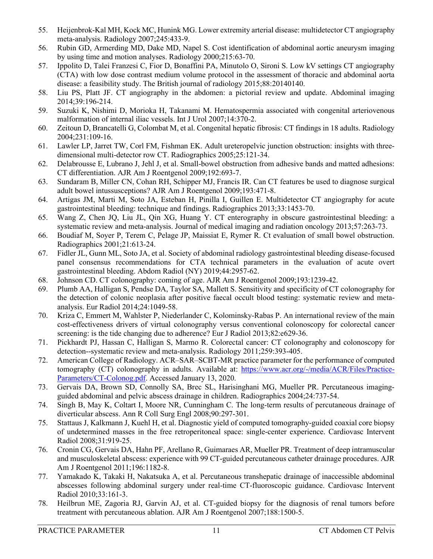- <span id="page-10-0"></span>55. Heijenbrok-Kal MH, Kock MC, Hunink MG. Lower extremity arterial disease: multidetector CT angiography meta-analysis. Radiology 2007;245:433-9.
- 56. Rubin GD, Armerding MD, Dake MD, Napel S. Cost identification of abdominal aortic aneurysm imaging by using time and motion analyses. Radiology 2000;215:63-70.
- 57. Ippolito D, Talei Franzesi C, Fior D, Bonaffini PA, Minutolo O, Sironi S. Low kV settings CT angiography (CTA) with low dose contrast medium volume protocol in the assessment of thoracic and abdominal aorta disease: a feasibility study. The British journal of radiology 2015;88:20140140.
- 58. Liu PS, Platt JF. CT angiography in the abdomen: a pictorial review and update. Abdominal imaging 2014;39:196-214.
- <span id="page-10-1"></span>59. Suzuki K, Nishimi D, Morioka H, Takanami M. Hematospermia associated with congenital arteriovenous malformation of internal iliac vessels. Int J Urol 2007;14:370-2.
- 60. Zeitoun D, Brancatelli G, Colombat M, et al. Congenital hepatic fibrosis: CT findings in 18 adults. Radiology 2004;231:109-16.
- 61. Lawler LP, Jarret TW, Corl FM, Fishman EK. Adult ureteropelvic junction obstruction: insights with threedimensional multi-detector row CT. Radiographics 2005;25:121-34.
- <span id="page-10-2"></span>62. Delabrousse E, Lubrano J, Jehl J, et al. Small-bowel obstruction from adhesive bands and matted adhesions: CT differentiation. AJR Am J Roentgenol 2009;192:693-7.
- 63. Sundaram B, Miller CN, Cohan RH, Schipper MJ, Francis IR. Can CT features be used to diagnose surgical adult bowel intussusceptions? AJR Am J Roentgenol 2009;193:471-8.
- 64. Artigas JM, Marti M, Soto JA, Esteban H, Pinilla I, Guillen E. Multidetector CT angiography for acute gastrointestinal bleeding: technique and findings. Radiographics 2013;33:1453-70.
- 65. Wang Z, Chen JQ, Liu JL, Qin XG, Huang Y. CT enterography in obscure gastrointestinal bleeding: a systematic review and meta-analysis. Journal of medical imaging and radiation oncology 2013;57:263-73.
- 66. Boudiaf M, Soyer P, Terem C, Pelage JP, Maissiat E, Rymer R. Ct evaluation of small bowel obstruction. Radiographics 2001;21:613-24.
- 67. Fidler JL, Gunn ML, Soto JA, et al. Society of abdominal radiology gastrointestinal bleeding disease-focused panel consensus recommendations for CTA technical parameters in the evaluation of acute overt gastrointestinal bleeding. Abdom Radiol (NY) 2019;44:2957-62.
- <span id="page-10-3"></span>68. Johnson CD. CT colonography: coming of age. AJR Am J Roentgenol 2009;193:1239-42.
- 69. Plumb AA, Halligan S, Pendse DA, Taylor SA, Mallett S. Sensitivity and specificity of CT colonography for the detection of colonic neoplasia after positive faecal occult blood testing: systematic review and metaanalysis. Eur Radiol 2014;24:1049-58.
- 70. Kriza C, Emmert M, Wahlster P, Niederlander C, Kolominsky-Rabas P. An international review of the main cost-effectiveness drivers of virtual colonography versus conventional colonoscopy for colorectal cancer screening: is the tide changing due to adherence? Eur J Radiol 2013;82:e629-36.
- 71. Pickhardt PJ, Hassan C, Halligan S, Marmo R. Colorectal cancer: CT colonography and colonoscopy for detection--systematic review and meta-analysis. Radiology 2011;259:393-405.
- 72. American College of Radiology. ACR–SAR–SCBT-MR practice parameter for the performance of computed tomography (CT) colonography in adults. Available at: [https://www.acr.org/-/media/ACR/Files/Practice-](https://www.acr.org/-/media/ACR/Files/Practice-Parameters/CT-Colonog.pdf)[Parameters/CT-Colonog.pdf.](https://www.acr.org/-/media/ACR/Files/Practice-Parameters/CT-Colonog.pdf) Accessed January 13, 2020.
- <span id="page-10-4"></span>73. Gervais DA, Brown SD, Connolly SA, Brec SL, Harisinghani MG, Mueller PR. Percutaneous imagingguided abdominal and pelvic abscess drainage in children. Radiographics 2004;24:737-54.
- 74. Singh B, May K, Coltart I, Moore NR, Cunningham C. The long-term results of percutaneous drainage of diverticular abscess. Ann R Coll Surg Engl 2008;90:297-301.
- 75. Stattaus J, Kalkmann J, Kuehl H, et al. Diagnostic yield of computed tomography-guided coaxial core biopsy of undetermined masses in the free retroperitoneal space: single-center experience. Cardiovasc Intervent Radiol 2008;31:919-25.
- 76. Cronin CG, Gervais DA, Hahn PF, Arellano R, Guimaraes AR, Mueller PR. Treatment of deep intramuscular and musculoskeletal abscess: experience with 99 CT-guided percutaneous catheter drainage procedures. AJR Am J Roentgenol 2011;196:1182-8.
- 77. Yamakado K, Takaki H, Nakatsuka A, et al. Percutaneous transhepatic drainage of inaccessible abdominal abscesses following abdominal surgery under real-time CT-fluoroscopic guidance. Cardiovasc Intervent Radiol 2010;33:161-3.
- 78. Heilbrun ME, Zagoria RJ, Garvin AJ, et al. CT-guided biopsy for the diagnosis of renal tumors before treatment with percutaneous ablation. AJR Am J Roentgenol 2007;188:1500-5.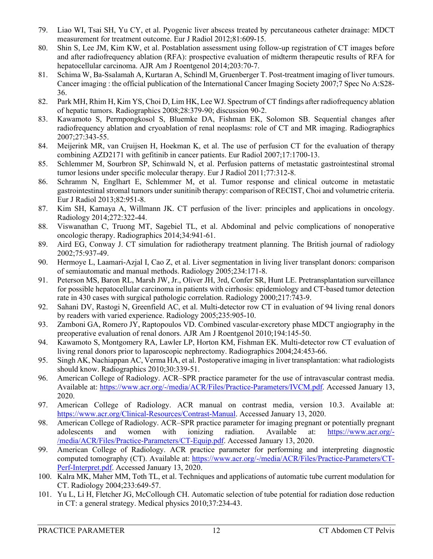- <span id="page-11-0"></span>79. Liao WI, Tsai SH, Yu CY, et al. Pyogenic liver abscess treated by percutaneous catheter drainage: MDCT measurement for treatment outcome. Eur J Radiol 2012;81:609-15.
- 80. Shin S, Lee JM, Kim KW, et al. Postablation assessment using follow-up registration of CT images before and after radiofrequency ablation (RFA): prospective evaluation of midterm therapeutic results of RFA for hepatocellular carcinoma. AJR Am J Roentgenol 2014;203:70-7.
- 81. Schima W, Ba-Ssalamah A, Kurtaran A, Schindl M, Gruenberger T. Post-treatment imaging of liver tumours. Cancer imaging : the official publication of the International Cancer Imaging Society 2007;7 Spec No A:S28- 36.
- 82. Park MH, Rhim H, Kim YS, Choi D, Lim HK, Lee WJ. Spectrum of CT findings after radiofrequency ablation of hepatic tumors. Radiographics 2008;28:379-90; discussion 90-2.
- <span id="page-11-1"></span>83. Kawamoto S, Permpongkosol S, Bluemke DA, Fishman EK, Solomon SB. Sequential changes after radiofrequency ablation and cryoablation of renal neoplasms: role of CT and MR imaging. Radiographics 2007;27:343-55.
- 84. Meijerink MR, van Cruijsen H, Hoekman K, et al. The use of perfusion CT for the evaluation of therapy combining AZD2171 with gefitinib in cancer patients. Eur Radiol 2007;17:1700-13.
- 85. Schlemmer M, Sourbron SP, Schinwald N, et al. Perfusion patterns of metastatic gastrointestinal stromal tumor lesions under specific molecular therapy. Eur J Radiol 2011;77:312-8.
- 86. Schramm N, Englhart E, Schlemmer M, et al. Tumor response and clinical outcome in metastatic gastrointestinal stromal tumors under sunitinib therapy: comparison of RECIST, Choi and volumetric criteria. Eur J Radiol 2013;82:951-8.
- 87. Kim SH, Kamaya A, Willmann JK. CT perfusion of the liver: principles and applications in oncology. Radiology 2014;272:322-44.
- 88. Viswanathan C, Truong MT, Sagebiel TL, et al. Abdominal and pelvic complications of nonoperative oncologic therapy. Radiographics 2014;34:941-61.
- 89. Aird EG, Conway J. CT simulation for radiotherapy treatment planning. The British journal of radiology 2002;75:937-49.
- <span id="page-11-2"></span>90. Hermoye L, Laamari-Azjal I, Cao Z, et al. Liver segmentation in living liver transplant donors: comparison of semiautomatic and manual methods. Radiology 2005;234:171-8.
- 91. Peterson MS, Baron RL, Marsh JW, Jr., Oliver JH, 3rd, Confer SR, Hunt LE. Pretransplantation surveillance for possible hepatocellular carcinoma in patients with cirrhosis: epidemiology and CT-based tumor detection rate in 430 cases with surgical pathologic correlation. Radiology 2000;217:743-9.
- 92. Sahani DV, Rastogi N, Greenfield AC, et al. Multi-detector row CT in evaluation of 94 living renal donors by readers with varied experience. Radiology 2005;235:905-10.
- 93. Zamboni GA, Romero JY, Raptopoulos VD. Combined vascular-excretory phase MDCT angiography in the preoperative evaluation of renal donors. AJR Am J Roentgenol 2010;194:145-50.
- 94. Kawamoto S, Montgomery RA, Lawler LP, Horton KM, Fishman EK. Multi-detector row CT evaluation of living renal donors prior to laparoscopic nephrectomy. Radiographics 2004;24:453-66.
- 95. Singh AK, Nachiappan AC, Verma HA, et al. Postoperative imaging in liver transplantation: what radiologists should know. Radiographics 2010;30:339-51.
- <span id="page-11-3"></span>96. American College of Radiology. ACR–SPR practice parameter for the use of intravascular contrast media. Available at: [https://www.acr.org/-/media/ACR/Files/Practice-Parameters/IVCM.pdf.](https://www.acr.org/-/media/ACR/Files/Practice-Parameters/IVCM.pdf) Accessed January 13, 2020.
- <span id="page-11-4"></span>97. American College of Radiology. ACR manual on contrast media, version 10.3. Available at: [https://www.acr.org/Clinical-Resources/Contrast-Manual.](https://www.acr.org/Clinical-Resources/Contrast-Manual) Accessed January 13, 2020.
- <span id="page-11-5"></span>98. American College of Radiology. ACR–SPR practice parameter for imaging pregnant or potentially pregnant adolescents and women with ionizing radiation. Available at: https://www.acr.org/and women with ionizing radiation. Available at: [https://www.acr.org/-](https://www.acr.org/-/media/ACR/Files/Practice-Parameters/CT-Equip.pdf) [/media/ACR/Files/Practice-Parameters/CT-Equip.pdf.](https://www.acr.org/-/media/ACR/Files/Practice-Parameters/CT-Equip.pdf) Accessed January 13, 2020.
- <span id="page-11-6"></span>99. American College of Radiology. ACR practice parameter for performing and interpreting diagnostic computed tomography (CT). Available at: [https://www.acr.org/-/media/ACR/Files/Practice-Parameters/CT-](https://www.acr.org/-/media/ACR/Files/Practice-Parameters/CT-Perf-Interpret.pdf)[Perf-Interpret.pdf.](https://www.acr.org/-/media/ACR/Files/Practice-Parameters/CT-Perf-Interpret.pdf) Accessed January 13, 2020.
- <span id="page-11-7"></span>100. Kalra MK, Maher MM, Toth TL, et al. Techniques and applications of automatic tube current modulation for CT. Radiology 2004;233:649-57.
- <span id="page-11-8"></span>101. Yu L, Li H, Fletcher JG, McCollough CH. Automatic selection of tube potential for radiation dose reduction in CT: a general strategy. Medical physics 2010;37:234-43.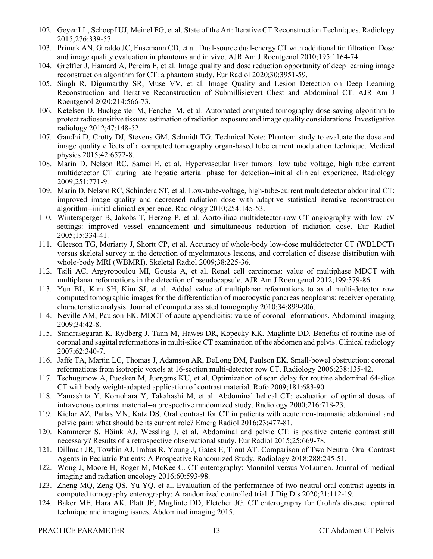- <span id="page-12-0"></span>102. Geyer LL, Schoepf UJ, Meinel FG, et al. State of the Art: Iterative CT Reconstruction Techniques. Radiology 2015;276:339-57.
- <span id="page-12-1"></span>103. Primak AN, Giraldo JC, Eusemann CD, et al. Dual-source dual-energy CT with additional tin filtration: Dose and image quality evaluation in phantoms and in vivo. AJR Am J Roentgenol 2010;195:1164-74.
- <span id="page-12-2"></span>104. Greffier J, Hamard A, Pereira F, et al. Image quality and dose reduction opportunity of deep learning image reconstruction algorithm for CT: a phantom study. Eur Radiol 2020;30:3951-59.
- <span id="page-12-3"></span>105. Singh R, Digumarthy SR, Muse VV, et al. Image Quality and Lesion Detection on Deep Learning Reconstruction and Iterative Reconstruction of Submillisievert Chest and Abdominal CT. AJR Am J Roentgenol 2020;214:566-73.
- <span id="page-12-4"></span>106. Ketelsen D, Buchgeister M, Fenchel M, et al. Automated computed tomography dose-saving algorithm to protect radiosensitive tissues: estimation of radiation exposure and image quality considerations. Investigative radiology 2012;47:148-52.
- <span id="page-12-5"></span>107. Gandhi D, Crotty DJ, Stevens GM, Schmidt TG. Technical Note: Phantom study to evaluate the dose and image quality effects of a computed tomography organ-based tube current modulation technique. Medical physics 2015;42:6572-8.
- <span id="page-12-6"></span>108. Marin D, Nelson RC, Samei E, et al. Hypervascular liver tumors: low tube voltage, high tube current multidetector CT during late hepatic arterial phase for detection--initial clinical experience. Radiology 2009;251:771-9.
- 109. Marin D, Nelson RC, Schindera ST, et al. Low-tube-voltage, high-tube-current multidetector abdominal CT: improved image quality and decreased radiation dose with adaptive statistical iterative reconstruction algorithm--initial clinical experience. Radiology 2010;254:145-53.
- 110. Wintersperger B, Jakobs T, Herzog P, et al. Aorto-iliac multidetector-row CT angiography with low kV settings: improved vessel enhancement and simultaneous reduction of radiation dose. Eur Radiol 2005;15:334-41.
- 111. Gleeson TG, Moriarty J, Shortt CP, et al. Accuracy of whole-body low-dose multidetector CT (WBLDCT) versus skeletal survey in the detection of myelomatous lesions, and correlation of disease distribution with whole-body MRI (WBMRI). Skeletal Radiol 2009;38:225-36.
- <span id="page-12-7"></span>112. Tsili AC, Argyropoulou MI, Gousia A, et al. Renal cell carcinoma: value of multiphase MDCT with multiplanar reformations in the detection of pseudocapsule. AJR Am J Roentgenol 2012;199:379-86.
- 113. Yun BL, Kim SH, Kim SJ, et al. Added value of multiplanar reformations to axial multi-detector row computed tomographic images for the differentiation of macrocystic pancreas neoplasms: receiver operating characteristic analysis. Journal of computer assisted tomography 2010;34:899-906.
- 114. Neville AM, Paulson EK. MDCT of acute appendicitis: value of coronal reformations. Abdominal imaging 2009;34:42-8.
- 115. Sandrasegaran K, Rydberg J, Tann M, Hawes DR, Kopecky KK, Maglinte DD. Benefits of routine use of coronal and sagittal reformations in multi-slice CT examination of the abdomen and pelvis. Clinical radiology 2007;62:340-7.
- 116. Jaffe TA, Martin LC, Thomas J, Adamson AR, DeLong DM, Paulson EK. Small-bowel obstruction: coronal reformations from isotropic voxels at 16-section multi-detector row CT. Radiology 2006;238:135-42.
- <span id="page-12-8"></span>117. Tschugunow A, Puesken M, Juergens KU, et al. Optimization of scan delay for routine abdominal 64-slice CT with body weight-adapted application of contrast material. Rofo 2009;181:683-90.
- <span id="page-12-9"></span>118. Yamashita Y, Komohara Y, Takahashi M, et al. Abdominal helical CT: evaluation of optimal doses of intravenous contrast material--a prospective randomized study. Radiology 2000;216:718-23.
- <span id="page-12-10"></span>119. Kielar AZ, Patlas MN, Katz DS. Oral contrast for CT in patients with acute non-traumatic abdominal and pelvic pain: what should be its current role? Emerg Radiol 2016;23:477-81.
- <span id="page-12-11"></span>120. Kammerer S, Höink AJ, Wessling J, et al. Abdominal and pelvic CT: is positive enteric contrast still necessary? Results of a retrospective observational study. Eur Radiol 2015;25:669-78.
- <span id="page-12-12"></span>121. Dillman JR, Towbin AJ, Imbus R, Young J, Gates E, Trout AT. Comparison of Two Neutral Oral Contrast Agents in Pediatric Patients: A Prospective Randomized Study. Radiology 2018;288:245-51.
- 122. Wong J, Moore H, Roger M, McKee C. CT enterography: Mannitol versus VoLumen. Journal of medical imaging and radiation oncology 2016;60:593-98.
- 123. Zheng MQ, Zeng QS, Yu YQ, et al. Evaluation of the performance of two neutral oral contrast agents in computed tomography enterography: A randomized controlled trial. J Dig Dis 2020;21:112-19.
- <span id="page-12-13"></span>124. Baker ME, Hara AK, Platt JF, Maglinte DD, Fletcher JG. CT enterography for Crohn's disease: optimal technique and imaging issues. Abdominal imaging 2015.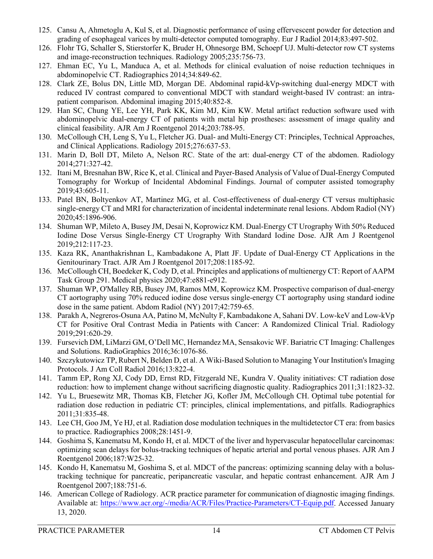- <span id="page-13-0"></span>125. Cansu A, Ahmetoglu A, Kul S, et al. Diagnostic performance of using effervescent powder for detection and grading of esophageal varices by multi-detector computed tomography. Eur J Radiol 2014;83:497-502.
- <span id="page-13-1"></span>126. Flohr TG, Schaller S, Stierstorfer K, Bruder H, Ohnesorge BM, Schoepf UJ. Multi-detector row CT systems and image-reconstruction techniques. Radiology 2005;235:756-73.
- <span id="page-13-2"></span>127. Ehman EC, Yu L, Manduca A, et al. Methods for clinical evaluation of noise reduction techniques in abdominopelvic CT. Radiographics 2014;34:849-62.
- <span id="page-13-3"></span>128. Clark ZE, Bolus DN, Little MD, Morgan DE. Abdominal rapid-kVp-switching dual-energy MDCT with reduced IV contrast compared to conventional MDCT with standard weight-based IV contrast: an intrapatient comparison. Abdominal imaging 2015;40:852-8.
- <span id="page-13-4"></span>129. Han SC, Chung YE, Lee YH, Park KK, Kim MJ, Kim KW. Metal artifact reduction software used with abdominopelvic dual-energy CT of patients with metal hip prostheses: assessment of image quality and clinical feasibility. AJR Am J Roentgenol 2014;203:788-95.
- 130. McCollough CH, Leng S, Yu L, Fletcher JG. Dual- and Multi-Energy CT: Principles, Technical Approaches, and Clinical Applications. Radiology 2015;276:637-53.
- 131. Marin D, Boll DT, Mileto A, Nelson RC. State of the art: dual-energy CT of the abdomen. Radiology 2014;271:327-42.
- <span id="page-13-5"></span>132. Itani M, Bresnahan BW, Rice K, et al. Clinical and Payer-Based Analysis of Value of Dual-Energy Computed Tomography for Workup of Incidental Abdominal Findings. Journal of computer assisted tomography 2019;43:605-11.
- <span id="page-13-6"></span>133. Patel BN, Boltyenkov AT, Martinez MG, et al. Cost-effectiveness of dual-energy CT versus multiphasic single-energy CT and MRI for characterization of incidental indeterminate renal lesions. Abdom Radiol (NY) 2020;45:1896-906.
- <span id="page-13-9"></span>134. Shuman WP, Mileto A, Busey JM, Desai N, Koprowicz KM. Dual-Energy CT Urography With 50% Reduced Iodine Dose Versus Single-Energy CT Urography With Standard Iodine Dose. AJR Am J Roentgenol 2019;212:117-23.
- 135. Kaza RK, Ananthakrishnan L, Kambadakone A, Platt JF. Update of Dual-Energy CT Applications in the Genitourinary Tract. AJR Am J Roentgenol 2017;208:1185-92.
- 136. McCollough CH, Boedeker K, Cody D, et al. Principles and applications of multienergy CT: Report of AAPM Task Group 291. Medical physics 2020;47:e881-e912.
- <span id="page-13-7"></span>137. Shuman WP, O'Malley RB, Busey JM, Ramos MM, Koprowicz KM. Prospective comparison of dual-energy CT aortography using 70% reduced iodine dose versus single-energy CT aortography using standard iodine dose in the same patient. Abdom Radiol (NY) 2017;42:759-65.
- <span id="page-13-8"></span>138. Parakh A, Negreros-Osuna AA, Patino M, McNulty F, Kambadakone A, Sahani DV. Low-keV and Low-kVp CT for Positive Oral Contrast Media in Patients with Cancer: A Randomized Clinical Trial. Radiology 2019;291:620-29.
- <span id="page-13-10"></span>139. Fursevich DM, LiMarzi GM, O'Dell MC, Hernandez MA, Sensakovic WF. Bariatric CT Imaging: Challenges and Solutions. RadioGraphics 2016;36:1076-86.
- <span id="page-13-11"></span>140. Szczykutowicz TP, Rubert N, Belden D, et al. A Wiki-Based Solution to Managing Your Institution's Imaging Protocols. J Am Coll Radiol 2016;13:822-4.
- <span id="page-13-12"></span>141. Tamm EP, Rong XJ, Cody DD, Ernst RD, Fitzgerald NE, Kundra V. Quality initiatives: CT radiation dose reduction: how to implement change without sacrificing diagnostic quality. Radiographics 2011;31:1823-32.
- 142. Yu L, Bruesewitz MR, Thomas KB, Fletcher JG, Kofler JM, McCollough CH. Optimal tube potential for radiation dose reduction in pediatric CT: principles, clinical implementations, and pitfalls. Radiographics 2011;31:835-48.
- <span id="page-13-13"></span>143. Lee CH, Goo JM, Ye HJ, et al. Radiation dose modulation techniques in the multidetector CT era: from basics to practice. Radiographics 2008;28:1451-9.
- 144. Goshima S, Kanematsu M, Kondo H, et al. MDCT of the liver and hypervascular hepatocellular carcinomas: optimizing scan delays for bolus-tracking techniques of hepatic arterial and portal venous phases. AJR Am J Roentgenol 2006;187:W25-32.
- 145. Kondo H, Kanematsu M, Goshima S, et al. MDCT of the pancreas: optimizing scanning delay with a bolustracking technique for pancreatic, peripancreatic vascular, and hepatic contrast enhancement. AJR Am J Roentgenol 2007;188:751-6.
- <span id="page-13-14"></span>146. American College of Radiology. ACR practice parameter for communication of diagnostic imaging findings. Available at: https://www.acr.org/-/media/ACR/Files/Practice-Parameters/CT-Equip.pdf. Accessed January 13, 2020.